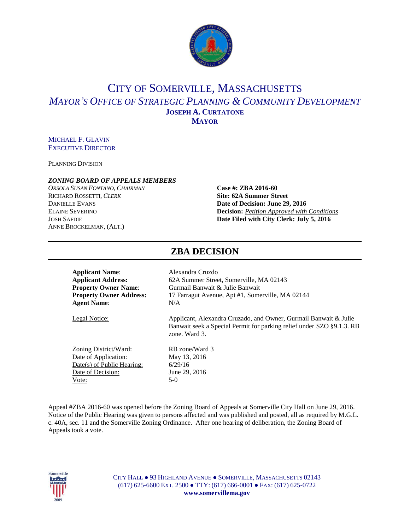

# CITY OF SOMERVILLE, MASSACHUSETTS *MAYOR'S OFFICE OF STRATEGIC PLANNING & COMMUNITY DEVELOPMENT* **JOSEPH A. CURTATONE MAYOR**

## MICHAEL F. GLAVIN EXECUTIVE DIRECTOR

PLANNING DIVISION

#### *ZONING BOARD OF APPEALS MEMBERS*

*ORSOLA SUSAN FONTANO*, *CHAIRMAN* **Case #: ZBA 2016-60** RICHARD ROSSETTI, *CLERK* **Site: 62A Summer Street DANIELLE EVANS Date of Decision: June 29, 2016** ANNE BROCKELMAN, (ALT.)

# ELAINE SEVERINO **Decision:** *Petition Approved with Conditions* JOSH SAFDIE **Date Filed with City Clerk: July 5, 2016**

| Alexandra Cruzdo<br>62A Summer Street, Somerville, MA 02143<br>Gurmail Banwait & Julie Banwait<br>17 Farragut Avenue, Apt #1, Somerville, MA 02144         |
|------------------------------------------------------------------------------------------------------------------------------------------------------------|
| N/A                                                                                                                                                        |
|                                                                                                                                                            |
| Applicant, Alexandra Cruzado, and Owner, Gurmail Banwait & Julie<br>Banwait seek a Special Permit for parking relief under SZO §9.1.3. RB<br>zone. Ward 3. |
| RB zone/Ward 3                                                                                                                                             |
| May 13, 2016                                                                                                                                               |
| 6/29/16                                                                                                                                                    |
| June 29, 2016                                                                                                                                              |
|                                                                                                                                                            |
| $5-0$                                                                                                                                                      |
|                                                                                                                                                            |

#### Appeal #ZBA 2016-60 was opened before the Zoning Board of Appeals at Somerville City Hall on June 29, 2016. Notice of the Public Hearing was given to persons affected and was published and posted, all as required by M.G.L. c. 40A, sec. 11 and the Somerville Zoning Ordinance. After one hearing of deliberation, the Zoning Board of Appeals took a vote.



CITY HALL ● 93 HIGHLAND AVENUE ● SOMERVILLE, MASSACHUSETTS 02143 (617) 625-6600 EXT. 2500 ● TTY: (617) 666-0001 ● FAX: (617) 625-0722 **www.somervillema.gov**

# **ZBA DECISION**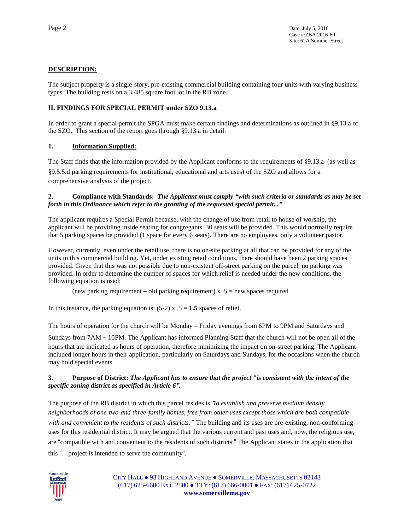# **DESCRIPTION:**

The subject property is a single-story, pre-existing commercial building containing four units with varying business types. The building rests on a 3,485 square foot lot in the RB zone.

## **II. FINDINGS FOR SPECIAL PERMIT under SZO 9.13.a**

In order to grant a special permit the SPGA must make certain findings and determinations as outlined in §9.13.a of the SZO. This section of the report goes through §9.13.a in detail.

## **1. Information Supplied:**

The Staff finds that the information provided by the Applicant conforms to the requirements of §9.13.a (as well as §9.5.5.d parking requirements for institutional, educational and arts uses) of the SZO and allows for a comprehensive analysis of the project.

#### **2. Compliance with Standards:** *The Applicant must comply "with such criteria or standards as may be set forth in this Ordinance which refer to the granting of the requested special permit..."*

The applicant requires a Special Permit because, with the change of use from retail to house of worship, the applicant will be providing inside seating for congregants. 30 seats will be provided. This would normally require that 5 parking spaces be provided (1 space for every 6 seats). There are no employees, only a volunteer pastor.

However, currently, even under the retail use, there is no on-site parking at all that can be provided for any of the units in this commercial building. Yet, under existing retail conditions, there should have been 2 parking spaces provided. Given that this was not possible due to non-existent off-street parking on the parcel, no parking was provided. In order to determine the number of spaces for which relief is needed under the new conditions, the following equation is used:

(new parking requirement – old parking requirement)  $x \cdot 5$  = new spaces required

In this instance, the parking equation is:  $(5-2) \times .5 = 1.5$  spaces of relief.

The hours of operation for the church will be Monday – Friday evenings from 6PM to 9PM and Saturdays and

Sundays from 7AM – 10PM. The Applicant has informed Planning Staff that the church will not be open all of the hours that are indicated as hours of operation, therefore minimizing the impact on on-street parking. The Applicant included longer hours in their application, particularly on Saturdays and Sundays, for the occasions when the church may hold special events.

#### 3. Purpose of District: The Applicant has to ensure that the project "is consistent with the intent of the *specific zoning district as specified in Article 6".*

The purpose of the RB district in which this parcel resides is "*to establish and preserve medium density neighborhoods of one-two-and three-family homes, free from other uses except those which are both compatible with and convenient to the residents of such districts.*" The building and its uses are pre-existing, non-conforming uses for this residential district. It may be argued that the various current and past uses and, now, the religious use, are "compatible with and convenient to the residents of such districts." The Applicant states in the application that this "…project is intended to serve the community".



CITY HALL ● 93 HIGHLAND AVENUE ● SOMERVILLE, MASSACHUSETTS 02143 (617) 625-6600 EXT. 2500 ● TTY: (617) 666-0001 ● FAX: (617) 625-0722 **www.somervillema.gov**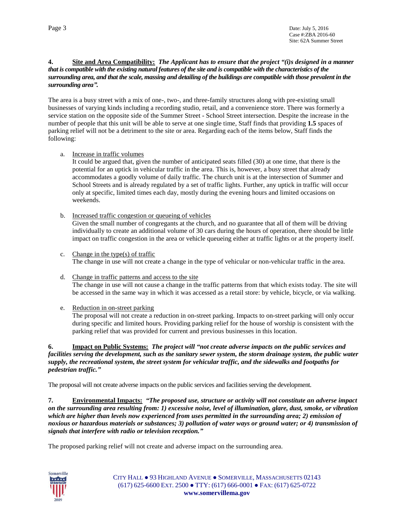#### 4. Site and Area Compatibility: The Applicant has to ensure that the project "(i)s designed in a manner that is compatible with the existing natural features of the site and is compatible with the characteristics of the surrounding area, and that the scale, massing and detailing of the buildings are compatible with those prevalent in the *surrounding area".*

The area is a busy street with a mix of one-, two-, and three-family structures along with pre-existing small businesses of varying kinds including a recording studio, retail, and a convenience store. There was formerly a service station on the opposite side of the Summer Street - School Street intersection. Despite the increase in the number of people that this unit will be able to serve at one single time, Staff finds that providing **1.5** spaces of parking relief will not be a detriment to the site or area. Regarding each of the items below, Staff finds the following:

a. Increase in traffic volumes

It could be argued that, given the number of anticipated seats filled (30) at one time, that there is the potential for an uptick in vehicular traffic in the area. This is, however, a busy street that already accommodates a goodly volume of daily traffic. The church unit is at the intersection of Summer and School Streets and is already regulated by a set of traffic lights. Further, any uptick in traffic will occur only at specific, limited times each day, mostly during the evening hours and limited occasions on weekends.

b. Increased traffic congestion or queueing of vehicles

Given the small number of congregants at the church, and no guarantee that all of them will be driving individually to create an additional volume of 30 cars during the hours of operation, there should be little impact on traffic congestion in the area or vehicle queueing either at traffic lights or at the property itself.

- c. Change in the type(s) of traffic The change in use will not create a change in the type of vehicular or non-vehicular traffic in the area.
- d. Change in traffic patterns and access to the site The change in use will not cause a change in the traffic patterns from that which exists today. The site will be accessed in the same way in which it was accessed as a retail store: by vehicle, bicycle, or via walking.
- e. Reduction in on-street parking

The proposal will not create a reduction in on-street parking. Impacts to on-street parking will only occur during specific and limited hours. Providing parking relief for the house of worship is consistent with the parking relief that was provided for current and previous businesses in this location.

**6. Impact on Public Systems:** *The project will "not create adverse impacts on the public services and* facilities serving the development, such as the sanitary sewer system, the storm drainage system, the public water *supply, the recreational system, the street system for vehicular traffic, and the sidewalks and footpaths for pedestrian traffic."*

The proposal will not create adverse impacts on the public services and facilities serving the development.

**7. Environmental Impacts:** *"The proposed use, structure or activity will not constitute an adverse impact* on the surrounding area resulting from: 1) excessive noise, level of illumination, glare, dust, smoke, or vibration *which are higher than levels now experienced from uses permitted in the surrounding area; 2) emission of* noxious or hazardous materials or substances; 3) pollution of water ways or ground water; or 4) transmission of *signals that interfere with radio or television reception."*

The proposed parking relief will not create and adverse impact on the surrounding area.



CITY HALL ● 93 HIGHLAND AVENUE ● SOMERVILLE, MASSACHUSETTS 02143 (617) 625-6600 EXT. 2500 ● TTY: (617) 666-0001 ● FAX: (617) 625-0722 **www.somervillema.gov**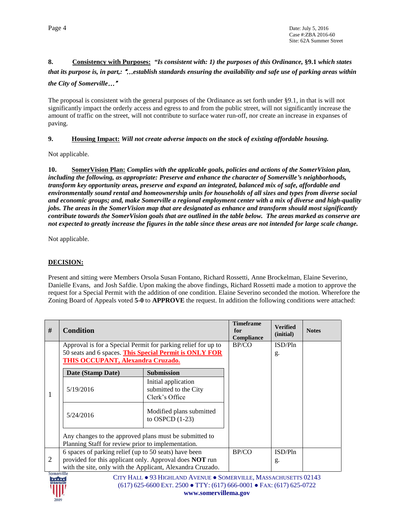# **8. Consistency with Purposes:** *"Is consistent with: 1) the purposes of this Ordinance,* **§9.1** *which states* that its purpose is, in part,: "...establish standards ensuring the availability and safe use of parking areas within *the City of Somerville*…"

The proposal is consistent with the general purposes of the Ordinance as set forth under §9.1, in that is will not significantly impact the orderly access and egress to and from the public street, will not significantly increase the amount of traffic on the street, will not contribute to surface water run-off, nor create an increase in expanses of paving.

## **9. Housing Impact:** *Will not create adverse impacts on the stock of existing affordable housing.*

Not applicable.

**10. SomerVision Plan:** *Complies with the applicable goals, policies and actions of the SomerVision plan, including the following, as appropriate: Preserve and enhance the character of Somerville's neighborhoods, transform key opportunity areas, preserve and expand an integrated, balanced mix of safe, affordable and environmentally sound rental and homeownership units for households of all sizes and types from diverse social* and economic groups; and, make Somerville a regional employment center with a mix of diverse and high-quality jobs. The areas in the SomerVision map that are designated as enhance and transform should most significantly contribute towards the SomerVision goals that are outlined in the table below. The areas marked as conserve are not expected to greatly increase the figures in the table since these areas are not intended for large scale change.

Not applicable.

#### **DECISION:**

Present and sitting were Members Orsola Susan Fontano, Richard Rossetti, Anne Brockelman, Elaine Severino, Danielle Evans, and Josh Safdie. Upon making the above findings, Richard Rossetti made a motion to approve the request for a Special Permit with the addition of one condition. Elaine Severino seconded the motion. Wherefore the Zoning Board of Appeals voted **5-0** to **APPROVE** the request. In addition the following conditions were attached:

| #              | <b>Condition</b>                                                                                                                                             |                                                                | <b>Timeframe</b><br>for<br>Compliance | <b>Verified</b><br>(initial) | <b>Notes</b> |
|----------------|--------------------------------------------------------------------------------------------------------------------------------------------------------------|----------------------------------------------------------------|---------------------------------------|------------------------------|--------------|
|                | Approval is for a Special Permit for parking relief for up to<br>50 seats and 6 spaces. This Special Permit is ONLY FOR<br>THIS OCCUPANT, Alexandra Cruzado. |                                                                | BP/CO                                 | ISD/Pln<br>g.                |              |
|                | Date (Stamp Date)                                                                                                                                            | <b>Submission</b>                                              |                                       |                              |              |
|                | 5/19/2016                                                                                                                                                    | Initial application<br>submitted to the City<br>Clerk's Office |                                       |                              |              |
|                | 5/24/2016                                                                                                                                                    | Modified plans submitted<br>to OSPCD $(1-23)$                  |                                       |                              |              |
|                | Any changes to the approved plans must be submitted to<br>Planning Staff for review prior to implementation.                                                 |                                                                |                                       |                              |              |
| $\overline{2}$ | 6 spaces of parking relief (up to 50 seats) have been<br>provided for this applicant only. Approval does <b>NOT</b> run                                      | with the site, only with the Applicant, Alexandra Cruzado.     | BP/CO                                 | ISD/Pln<br>g.                |              |